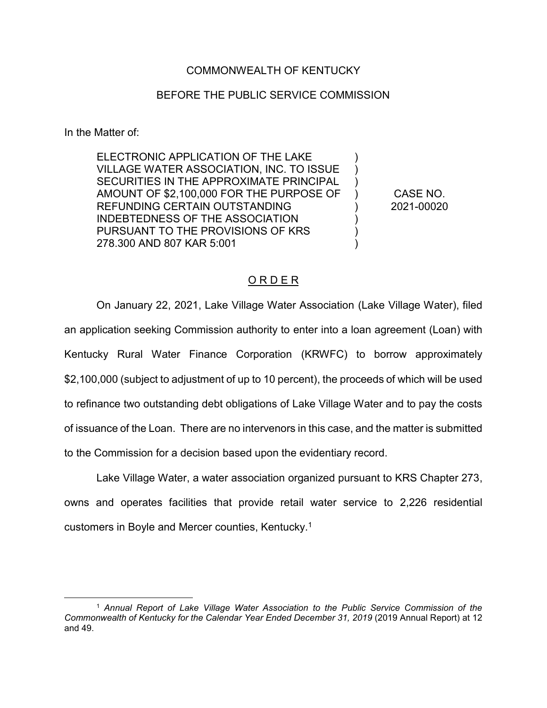## COMMONWEALTH OF KENTUCKY

## BEFORE THE PUBLIC SERVICE COMMISSION

In the Matter of:

ELECTRONIC APPLICATION OF THE LAKE VILLAGE WATER ASSOCIATION, INC. TO ISSUE SECURITIES IN THE APPROXIMATE PRINCIPAL AMOUNT OF \$2,100,000 FOR THE PURPOSE OF REFUNDING CERTAIN OUTSTANDING INDEBTEDNESS OF THE ASSOCIATION PURSUANT TO THE PROVISIONS OF KRS 278.300 AND 807 KAR 5:001

CASE NO. 2021-00020

)  $\lambda$  $\lambda$  $\left( \right)$ ) ) ) )

## O R D E R

On January 22, 2021, Lake Village Water Association (Lake Village Water), filed an application seeking Commission authority to enter into a loan agreement (Loan) with Kentucky Rural Water Finance Corporation (KRWFC) to borrow approximately \$2,100,000 (subject to adjustment of up to 10 percent), the proceeds of which will be used to refinance two outstanding debt obligations of Lake Village Water and to pay the costs of issuance of the Loan. There are no intervenors in this case, and the matter is submitted to the Commission for a decision based upon the evidentiary record.

Lake Village Water, a water association organized pursuant to KRS Chapter 273, owns and operates facilities that provide retail water service to 2,226 residential customers in Boyle and Mercer counties, Kentucky.1

 <sup>1</sup> *Annual Report of Lake Village Water Association to the Public Service Commission of the Commonwealth of Kentucky for the Calendar Year Ended December 31, 2019* (2019 Annual Report) at 12 and 49.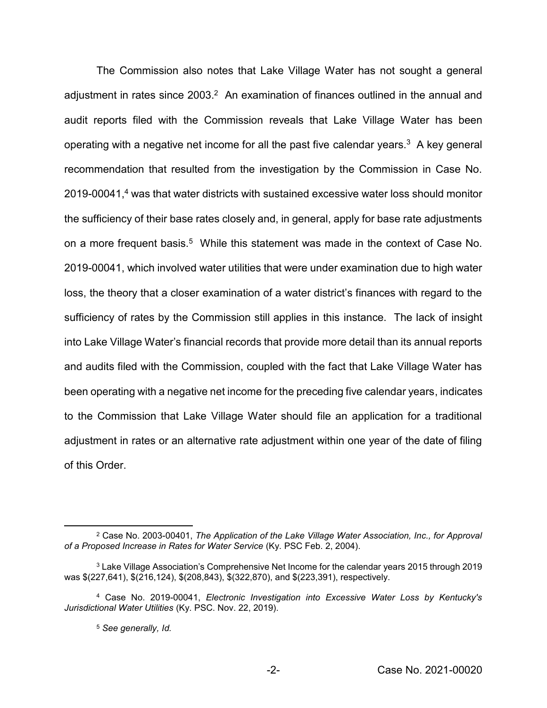The Commission also notes that Lake Village Water has not sought a general adjustment in rates since 2003.<sup>2</sup> An examination of finances outlined in the annual and audit reports filed with the Commission reveals that Lake Village Water has been operating with a negative net income for all the past five calendar years.<sup>3</sup> A key general recommendation that resulted from the investigation by the Commission in Case No. 2019-00041,<sup>4</sup> was that water districts with sustained excessive water loss should monitor the sufficiency of their base rates closely and, in general, apply for base rate adjustments on a more frequent basis.<sup>5</sup> While this statement was made in the context of Case No. 2019-00041, which involved water utilities that were under examination due to high water loss, the theory that a closer examination of a water district's finances with regard to the sufficiency of rates by the Commission still applies in this instance. The lack of insight into Lake Village Water's financial records that provide more detail than its annual reports and audits filed with the Commission, coupled with the fact that Lake Village Water has been operating with a negative net income for the preceding five calendar years, indicates to the Commission that Lake Village Water should file an application for a traditional adjustment in rates or an alternative rate adjustment within one year of the date of filing of this Order.

 <sup>2</sup> Case No. 2003-00401, *The Application of the Lake Village Water Association, Inc., for Approval of a Proposed Increase in Rates for Water Service* (Ky. PSC Feb. 2, 2004).

<sup>3</sup> Lake Village Association's Comprehensive Net Income for the calendar years 2015 through 2019 was \$(227,641), \$(216,124), \$(208,843), \$(322,870), and \$(223,391), respectively.

<sup>4</sup> Case No. 2019-00041, *Electronic Investigation into Excessive Water Loss by Kentucky's Jurisdictional Water Utilities* (Ky. PSC. Nov. 22, 2019).

<sup>5</sup> *See generally, Id.*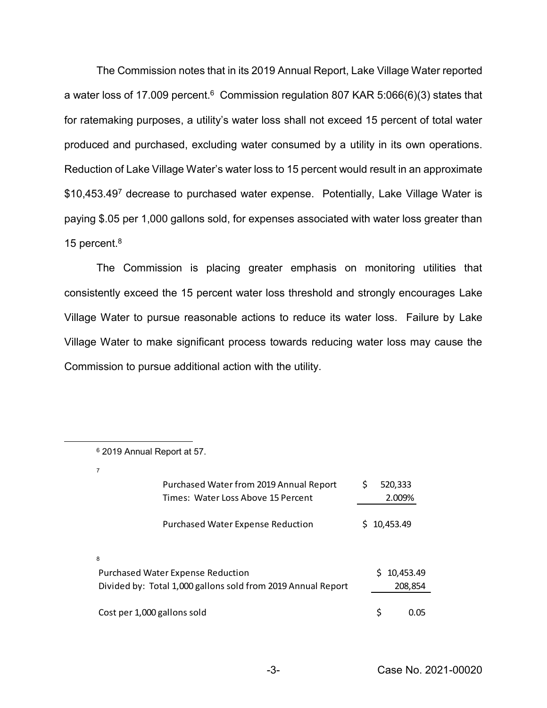The Commission notes that in its 2019 Annual Report, Lake Village Water reported a water loss of 17.009 percent.<sup>6</sup> Commission regulation 807 KAR 5:066(6)(3) states that for ratemaking purposes, a utility's water loss shall not exceed 15 percent of total water produced and purchased, excluding water consumed by a utility in its own operations. Reduction of Lake Village Water's water loss to 15 percent would result in an approximate \$10,453.49<sup>7</sup> decrease to purchased water expense. Potentially, Lake Village Water is paying \$.05 per 1,000 gallons sold, for expenses associated with water loss greater than 15 percent.<sup>8</sup>

The Commission is placing greater emphasis on monitoring utilities that consistently exceed the 15 percent water loss threshold and strongly encourages Lake Village Water to pursue reasonable actions to reduce its water loss. Failure by Lake Village Water to make significant process towards reducing water loss may cause the Commission to pursue additional action with the utility.

7

| Purchased Water from 2019 Annual Report<br>Times: Water Loss Above 15 Percent                                 | S  |           | 520,333<br>2.009%    |  |
|---------------------------------------------------------------------------------------------------------------|----|-----------|----------------------|--|
| <b>Purchased Water Expense Reduction</b>                                                                      | S. | 10,453.49 |                      |  |
| 8<br><b>Purchased Water Expense Reduction</b><br>Divided by: Total 1,000 gallons sold from 2019 Annual Report |    |           | 10,453.49<br>208,854 |  |
| Cost per 1,000 gallons sold                                                                                   |    | \$        | 0.O5                 |  |

 <sup>6</sup> 2019 Annual Report at 57.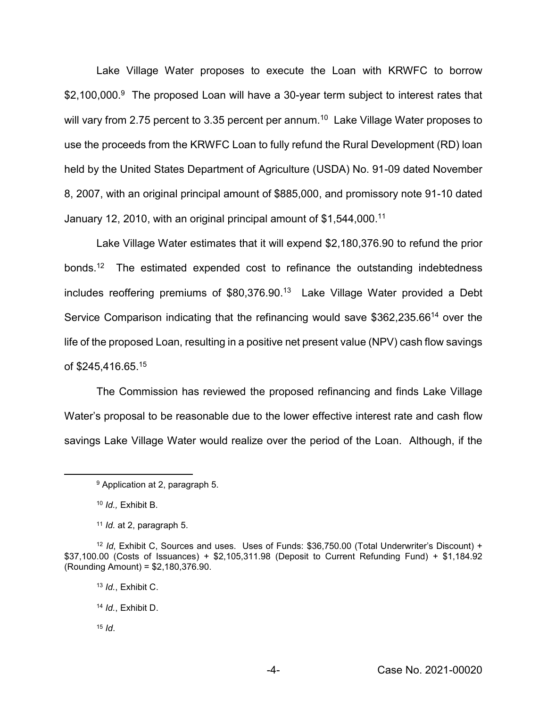Lake Village Water proposes to execute the Loan with KRWFC to borrow \$2,100,000.<sup>9</sup> The proposed Loan will have a 30-year term subject to interest rates that will vary from 2.75 percent to 3.35 percent per annum.<sup>10</sup> Lake Village Water proposes to use the proceeds from the KRWFC Loan to fully refund the Rural Development (RD) loan held by the United States Department of Agriculture (USDA) No. 91-09 dated November 8, 2007, with an original principal amount of \$885,000, and promissory note 91-10 dated January 12, 2010, with an original principal amount of \$1,544,000.11

Lake Village Water estimates that it will expend \$2,180,376.90 to refund the prior bonds.<sup>12</sup> The estimated expended cost to refinance the outstanding indebtedness includes reoffering premiums of \$80,376.90. 13 Lake Village Water provided a Debt Service Comparison indicating that the refinancing would save \$362,235.6614 over the life of the proposed Loan, resulting in a positive net present value (NPV) cash flow savings of \$245,416.65. 15

The Commission has reviewed the proposed refinancing and finds Lake Village Water's proposal to be reasonable due to the lower effective interest rate and cash flow savings Lake Village Water would realize over the period of the Loan. Although, if the

- <sup>13</sup> *Id.*, Exhibit C.
- <sup>14</sup> *Id.*, Exhibit D.
- $15$  *Id.*

 <sup>9</sup> Application at 2, paragraph 5.

<sup>10</sup> *Id.,* Exhibit B.

<sup>11</sup> *Id.* at 2, paragraph 5.

<sup>&</sup>lt;sup>12</sup> *Id*, Exhibit C, Sources and uses. Uses of Funds: \$36,750.00 (Total Underwriter's Discount) + \$37,100.00 (Costs of Issuances) + \$2,105,311.98 (Deposit to Current Refunding Fund) + \$1,184.92 (Rounding Amount) = \$2,180,376.90.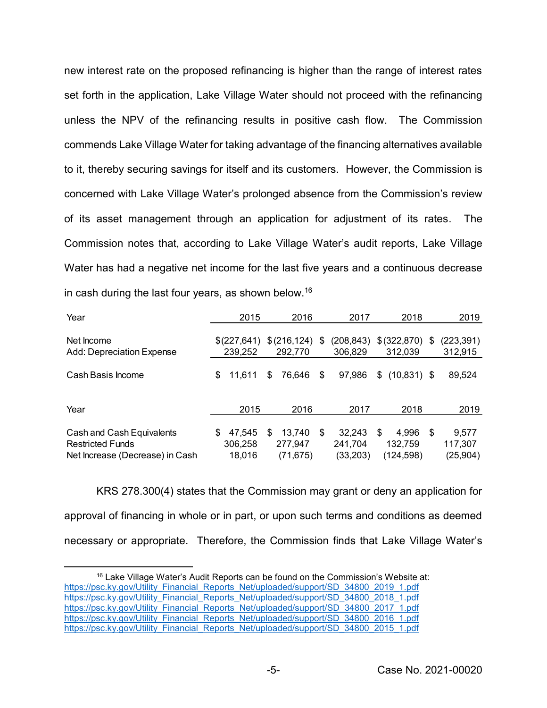new interest rate on the proposed refinancing is higher than the range of interest rates set forth in the application, Lake Village Water should not proceed with the refinancing unless the NPV of the refinancing results in positive cash flow. The Commission commends Lake Village Water for taking advantage of the financing alternatives available to it, thereby securing savings for itself and its customers. However, the Commission is concerned with Lake Village Water's prolonged absence from the Commission's review of its asset management through an application for adjustment of its rates. The Commission notes that, according to Lake Village Water's audit reports, Lake Village Water has had a negative net income for the last five years and a continuous decrease in cash during the last four years, as shown below.16

| Year                                                                                    |     | 2015                        |    | 2016                           | 2017                                 | 2018                                 |    | 2019                          |
|-----------------------------------------------------------------------------------------|-----|-----------------------------|----|--------------------------------|--------------------------------------|--------------------------------------|----|-------------------------------|
| Net Income<br>Add: Depreciation Expense                                                 |     | \$(227,641)<br>239,252      |    | \$(216, 124)<br>292,770        | \$<br>(208, 843)<br>306,829          | \$(322,870)<br>312,039               | \$ | (223, 391)<br>312,915         |
| Cash Basis Income                                                                       | \$  | 11,611                      | \$ | 76,646                         | \$<br>97,986                         | \$<br>$(10,831)$ \$                  |    | 89,524                        |
| Year                                                                                    |     | 2015                        |    | 2016                           | 2017                                 | 2018                                 |    | 2019                          |
| Cash and Cash Equivalents<br><b>Restricted Funds</b><br>Net Increase (Decrease) in Cash | \$. | 47,545<br>306,258<br>18,016 | S  | 13,740<br>277,947<br>(71, 675) | \$<br>32,243<br>241,704<br>(33, 203) | \$<br>4,996<br>132,759<br>(124, 598) | -S | 9,577<br>117,307<br>(25, 904) |

KRS 278.300(4) states that the Commission may grant or deny an application for approval of financing in whole or in part, or upon such terms and conditions as deemed necessary or appropriate. Therefore, the Commission finds that Lake Village Water's

<sup>&</sup>lt;sup>16</sup> Lake Village Water's Audit Reports can be found on the Commission's Website at: https://psc.ky.gov/Utility\_Financial\_Reports\_Net/uploaded/support/SD\_34800\_2019\_1.pdf https://psc.ky.gov/Utility\_Financial\_Reports\_Net/uploaded/support/SD\_34800\_2018\_1.pdf https://psc.ky.gov/Utility\_Financial\_Reports\_Net/uploaded/support/SD\_34800\_2017\_1.pdf https://psc.ky.gov/Utility\_Financial\_Reports\_Net/uploaded/support/SD\_34800\_2016\_1.pdf https://psc.ky.gov/Utility\_Financial\_Reports\_Net/uploaded/support/SD\_34800\_2015\_1.pdf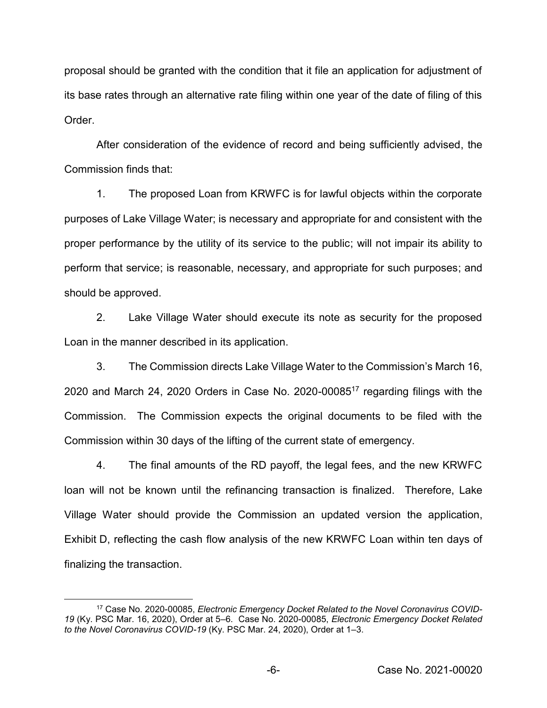proposal should be granted with the condition that it file an application for adjustment of its base rates through an alternative rate filing within one year of the date of filing of this Order.

After consideration of the evidence of record and being sufficiently advised, the Commission finds that:

1. The proposed Loan from KRWFC is for lawful objects within the corporate purposes of Lake Village Water; is necessary and appropriate for and consistent with the proper performance by the utility of its service to the public; will not impair its ability to perform that service; is reasonable, necessary, and appropriate for such purposes; and should be approved.

2. Lake Village Water should execute its note as security for the proposed Loan in the manner described in its application.

3. The Commission directs Lake Village Water to the Commission's March 16, 2020 and March 24, 2020 Orders in Case No. 2020-0008517 regarding filings with the Commission. The Commission expects the original documents to be filed with the Commission within 30 days of the lifting of the current state of emergency.

4. The final amounts of the RD payoff, the legal fees, and the new KRWFC loan will not be known until the refinancing transaction is finalized. Therefore, Lake Village Water should provide the Commission an updated version the application, Exhibit D, reflecting the cash flow analysis of the new KRWFC Loan within ten days of finalizing the transaction.

 <sup>17</sup> Case No. 2020-00085, *Electronic Emergency Docket Related to the Novel Coronavirus COVID-19* (Ky. PSC Mar. 16, 2020), Order at 5–6. Case No. 2020-00085, *Electronic Emergency Docket Related to the Novel Coronavirus COVID-19* (Ky. PSC Mar. 24, 2020), Order at 1–3.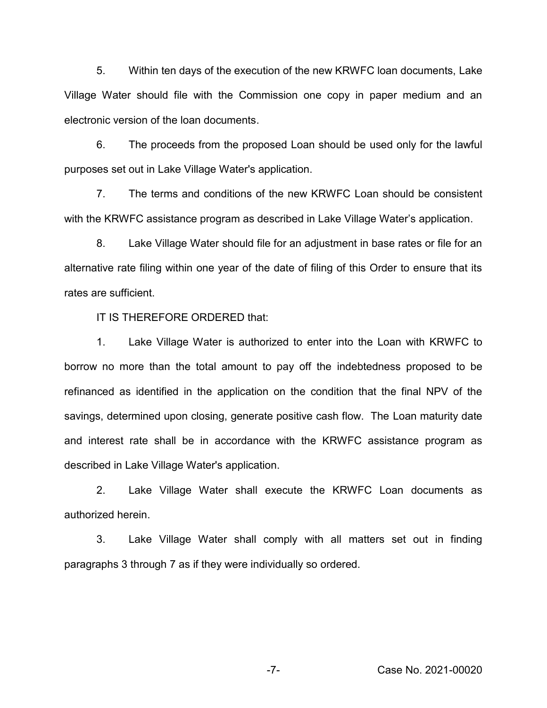5. Within ten days of the execution of the new KRWFC loan documents, Lake Village Water should file with the Commission one copy in paper medium and an electronic version of the loan documents.

6. The proceeds from the proposed Loan should be used only for the lawful purposes set out in Lake Village Water's application.

7. The terms and conditions of the new KRWFC Loan should be consistent with the KRWFC assistance program as described in Lake Village Water's application.

8. Lake Village Water should file for an adjustment in base rates or file for an alternative rate filing within one year of the date of filing of this Order to ensure that its rates are sufficient.

IT IS THEREFORE ORDERED that:

1. Lake Village Water is authorized to enter into the Loan with KRWFC to borrow no more than the total amount to pay off the indebtedness proposed to be refinanced as identified in the application on the condition that the final NPV of the savings, determined upon closing, generate positive cash flow. The Loan maturity date and interest rate shall be in accordance with the KRWFC assistance program as described in Lake Village Water's application.

2. Lake Village Water shall execute the KRWFC Loan documents as authorized herein.

3. Lake Village Water shall comply with all matters set out in finding paragraphs 3 through 7 as if they were individually so ordered.

-7- Case No. 2021-00020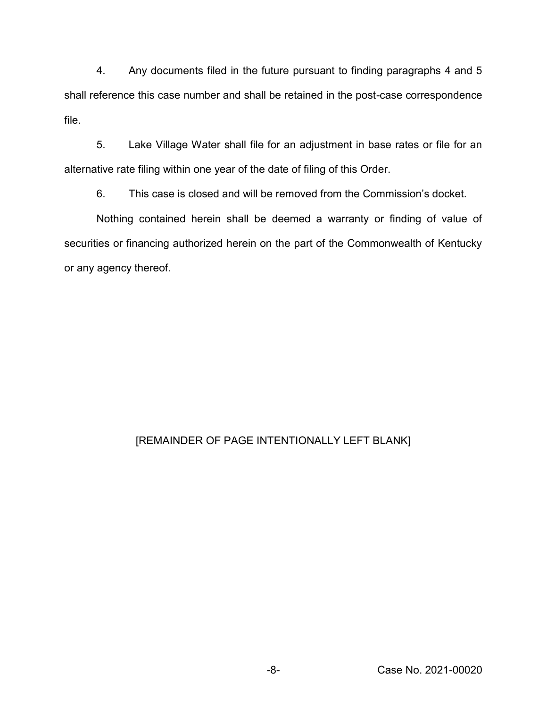4. Any documents filed in the future pursuant to finding paragraphs 4 and 5 shall reference this case number and shall be retained in the post-case correspondence file.

5. Lake Village Water shall file for an adjustment in base rates or file for an alternative rate filing within one year of the date of filing of this Order.

6. This case is closed and will be removed from the Commission's docket.

Nothing contained herein shall be deemed a warranty or finding of value of securities or financing authorized herein on the part of the Commonwealth of Kentucky or any agency thereof.

## [REMAINDER OF PAGE INTENTIONALLY LEFT BLANK]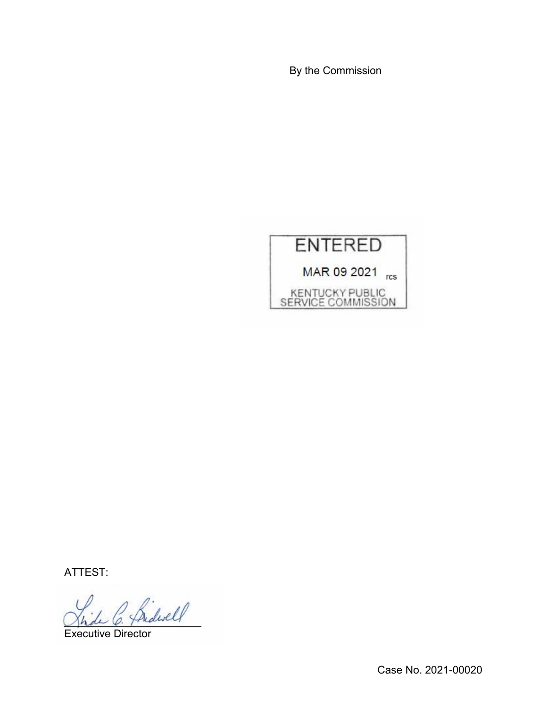By the Commission



ATTEST:

 $\sim$  Bidwell

Executive Director

Case No. 2021-00020